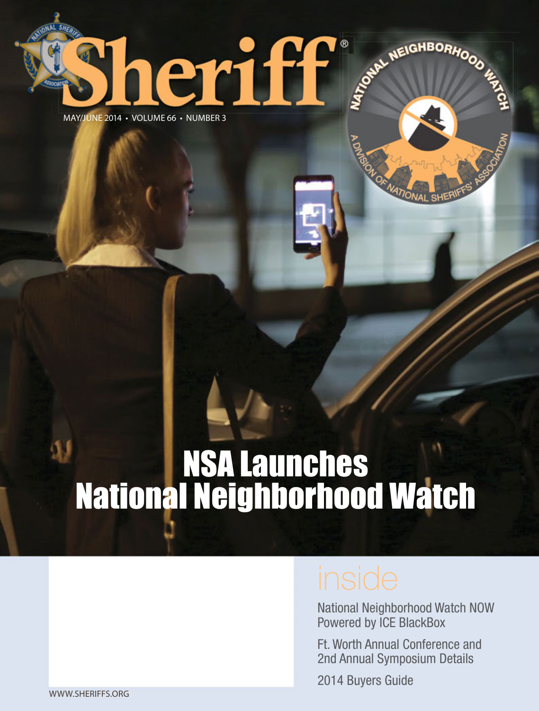### MAY/JUNE 2014 • VOLUME 66 • NUMBER 3

eriff

# NSA Launches National Neighborhood Watch

National Neighborhood Watch NOW Powered by ICE BlackBox

STONAL NEIGHBORHOOD 45%

Ft. Worth Annual Conference and 2nd Annual Symposium Details

2014 Buyers Guide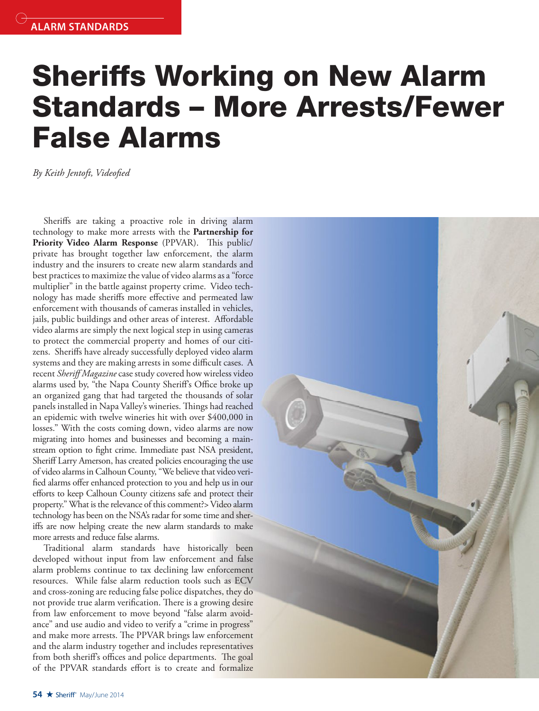## **Sheriffs Working on New Alarm Standards – More Arrests/Fewer False Alarms**

By Keith Jentoft, Videofied

Sheriffs are taking a proactive role in driving alarm technology to make more arrests with the **Partnership for**  Priority Video Alarm Response (PPVAR). This public/ private has brought together law enforcement, the alarm industry and the insurers to create new alarm standards and best practices to maximize the value of video alarms as a "force multiplier" in the battle against property crime. Video technology has made sheriffs more effective and permeated law enforcement with thousands of cameras installed in vehicles, jails, public buildings and other areas of interest. Affordable video alarms are simply the next logical step in using cameras to protect the commercial property and homes of our citizens. Sheriffs have already successfully deployed video alarm systems and they are making arrests in some difficult cases. A recent *Sheriff Magazine* case study covered how wireless video alarms used by, "the Napa County Sheriff's Office broke up an organized gang that had targeted the thousands of solar panels installed in Napa Valley's wineries. Things had reached an epidemic with twelve wineries hit with over \$400,000 in losses." With the costs coming down, video alarms are now migrating into homes and businesses and becoming a mainstream option to fight crime. Immediate past NSA president, Sheriff Larry Amerson, has created policies encouraging the use of video alarms in Calhoun County, "We believe that video verified alarms offer enhanced protection to you and help us in our efforts to keep Calhoun County citizens safe and protect their property." What is the relevance of this comment?> Video alarm technology has been on the NSA's radar for some time and sheriffs are now helping create the new alarm standards to make more arrests and reduce false alarms.

Traditional alarm standards have historically been developed without input from law enforcement and false alarm problems continue to tax declining law enforcement resources. While false alarm reduction tools such as ECV and cross-zoning are reducing false police dispatches, they do not provide true alarm verification. There is a growing desire from law enforcement to move beyond "false alarm avoidance" and use audio and video to verify a "crime in progress" and make more arrests. The PPVAR brings law enforcement and the alarm industry together and includes representatives from both sheriff's offices and police departments. The goal of the PPVAR standards effort is to create and formalize

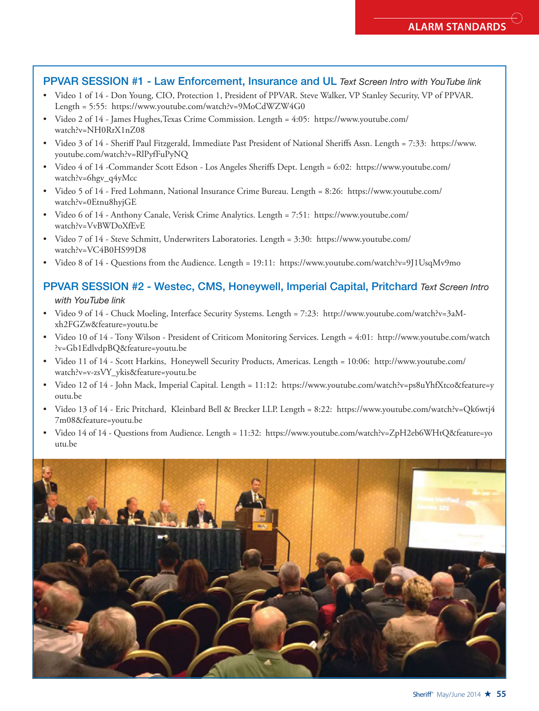### **PPVAR SESSION #1 - Law Enforcement, Insurance and UL** *Text Screen Intro with YouTube link*

- Video 1 of 14 Don Young, CIO, Protection 1, President of PPVAR. Steve Walker, VP Stanley Security, VP of PPVAR. Length = 5:55: https://www.youtube.com/watch?v=9MoCdWZW4G0
- Video 2 of 14 James Hughes,Texas Crime Commission. Length = 4:05: https://www.youtube.com/ watch?v=NH0RrX1nZ08
- Video 3 of 14 Sheriff Paul Fitzgerald, Immediate Past President of National Sheriffs Assn. Length = 7:33: https://www. youtube.com/watch?v=RlPyfFuPyNQ
- Video 4 of 14 -Commander Scott Edson Los Angeles Sheriffs Dept. Length = 6:02: https://www.youtube.com/ watch?v=6hgv\_q4yMcc
- Video 5 of 14 Fred Lohmann, National Insurance Crime Bureau. Length = 8:26: https://www.youtube.com/ watch?v=0Etnu8hyjGE
- Video 6 of 14 Anthony Canale, Verisk Crime Analytics. Length = 7:51: https://www.youtube.com/ watch?v=VvBWDoXfEvE
- Video 7 of 14 Steve Schmitt, Underwriters Laboratories. Length = 3:30: https://www.youtube.com/ watch?v=VC4B0HS99D8
- Video 8 of 14 Questions from the Audience. Length = 19:11: https://www.youtube.com/watch?v=9J1UsqMv9mo

### **PPVAR SESSION #2 - Westec, CMS, Honeywell, Imperial Capital, Pritchard** *Text Screen Intro with YouTube link*

- Video 9 of 14 Chuck Moeling, Interface Security Systems. Length = 7:23: http://www.youtube.com/watch?v=3aMxh2FGZw&feature=youtu.be
- Video 10 of 14 Tony Wilson President of Criticom Monitoring Services. Length = 4:01: http://www.youtube.com/watch ?v=Gb1EdlvdpBQ&feature=youtu.be
- Video 11 of 14 Scott Harkins, Honeywell Security Products, Americas. Length = 10:06: http://www.youtube.com/ watch?v=v-zsVY\_ykis&feature=youtu.be
- Video 12 of 14 John Mack, Imperial Capital. Length = 11:12: https://www.youtube.com/watch?v=ps8uYhfXtco&feature=y outu.be
- Video 13 of 14 Eric Pritchard, Kleinbard Bell & Brecker LLP. Length = 8:22: https://www.youtube.com/watch?v=Qk6wtj4 7m08&feature=youtu.be
- Video 14 of 14 Questions from Audience. Length = 11:32: https://www.youtube.com/watch?v=ZpH2eb6WHtQ&feature=yo utu.be